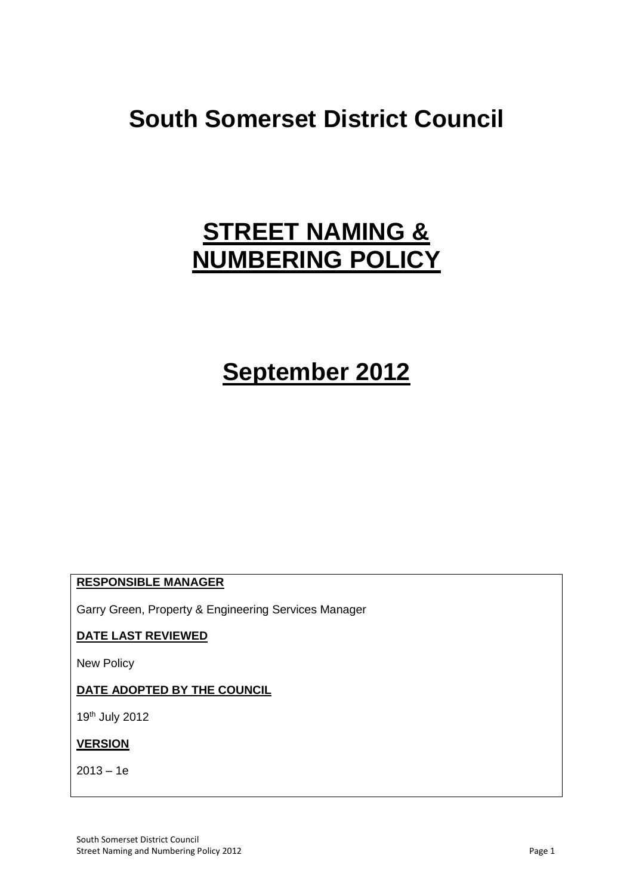# **South Somerset District Council**

# **STREET NAMING & NUMBERING POLICY**

# **September 2012**

## **RESPONSIBLE MANAGER**

Garry Green, Property & Engineering Services Manager

## **DATE LAST REVIEWED**

New Policy

## **DATE ADOPTED BY THE COUNCIL**

19th July 2012

## **VERSION**

 $2013 - 1e$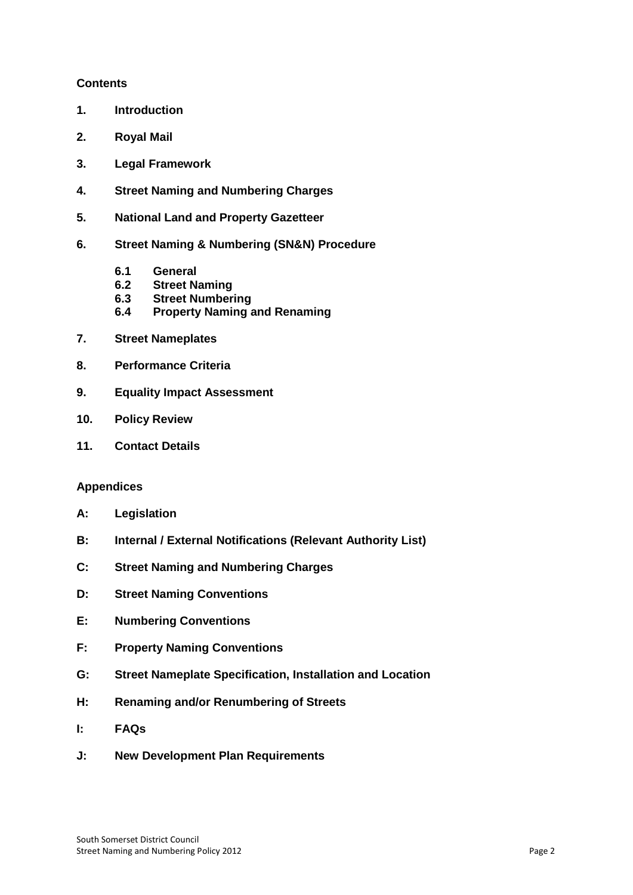## **Contents**

- **1. Introduction**
- **2. Royal Mail**
- **3. Legal Framework**
- **4. Street Naming and Numbering Charges**
- **5. National Land and Property Gazetteer**
- **6. Street Naming & Numbering (SN&N) Procedure**
	- **6.1 General**
	- **6.2 Street Naming**
	- **6.3 Street Numbering**
	- **6.4 Property Naming and Renaming**
- **7. Street Nameplates**
- **8. Performance Criteria**
- **9. Equality Impact Assessment**
- **10. Policy Review**
- **11. Contact Details**

### **Appendices**

- **A: Legislation**
- **B: Internal / External Notifications (Relevant Authority List)**
- **C: Street Naming and Numbering Charges**
- **D: Street Naming Conventions**
- **E: Numbering Conventions**
- **F: Property Naming Conventions**
- **G: Street Nameplate Specification, Installation and Location**
- **H: Renaming and/or Renumbering of Streets**
- **I: FAQs**
- **J: New Development Plan Requirements**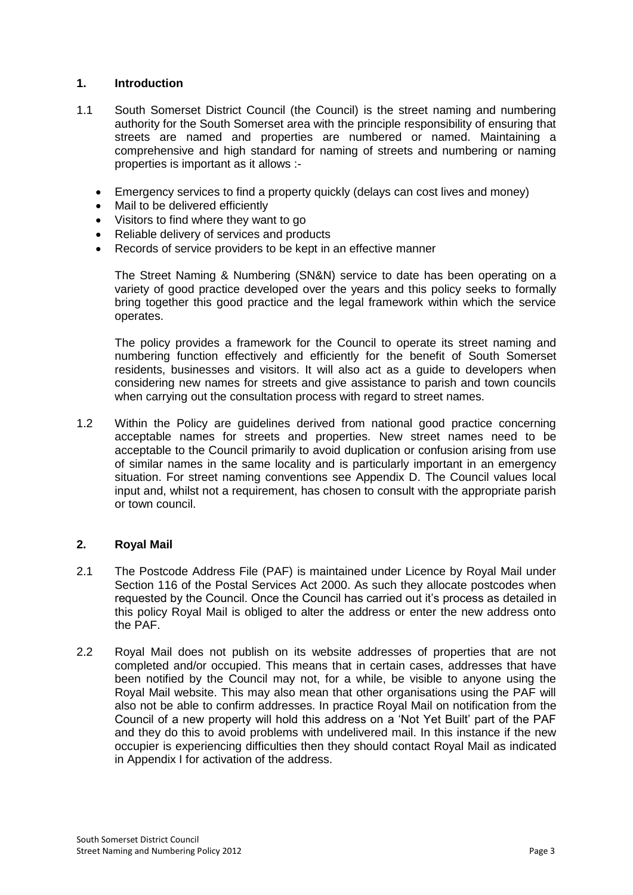## **1. Introduction**

- 1.1 South Somerset District Council (the Council) is the street naming and numbering authority for the South Somerset area with the principle responsibility of ensuring that streets are named and properties are numbered or named. Maintaining a comprehensive and high standard for naming of streets and numbering or naming properties is important as it allows :-
	- Emergency services to find a property quickly (delays can cost lives and money)
	- Mail to be delivered efficiently
	- Visitors to find where they want to go
	- Reliable delivery of services and products
	- Records of service providers to be kept in an effective manner

The Street Naming & Numbering (SN&N) service to date has been operating on a variety of good practice developed over the years and this policy seeks to formally bring together this good practice and the legal framework within which the service operates.

The policy provides a framework for the Council to operate its street naming and numbering function effectively and efficiently for the benefit of South Somerset residents, businesses and visitors. It will also act as a guide to developers when considering new names for streets and give assistance to parish and town councils when carrying out the consultation process with regard to street names.

1.2 Within the Policy are guidelines derived from national good practice concerning acceptable names for streets and properties. New street names need to be acceptable to the Council primarily to avoid duplication or confusion arising from use of similar names in the same locality and is particularly important in an emergency situation. For street naming conventions see Appendix D. The Council values local input and, whilst not a requirement, has chosen to consult with the appropriate parish or town council.

## **2. Royal Mail**

- 2.1 The Postcode Address File (PAF) is maintained under Licence by Royal Mail under Section 116 of the Postal Services Act 2000. As such they allocate postcodes when requested by the Council. Once the Council has carried out it's process as detailed in this policy Royal Mail is obliged to alter the address or enter the new address onto the PAF.
- 2.2 Royal Mail does not publish on its website addresses of properties that are not completed and/or occupied. This means that in certain cases, addresses that have been notified by the Council may not, for a while, be visible to anyone using the Royal Mail website. This may also mean that other organisations using the PAF will also not be able to confirm addresses. In practice Royal Mail on notification from the Council of a new property will hold this address on a 'Not Yet Built' part of the PAF and they do this to avoid problems with undelivered mail. In this instance if the new occupier is experiencing difficulties then they should contact Royal Mail as indicated in Appendix I for activation of the address.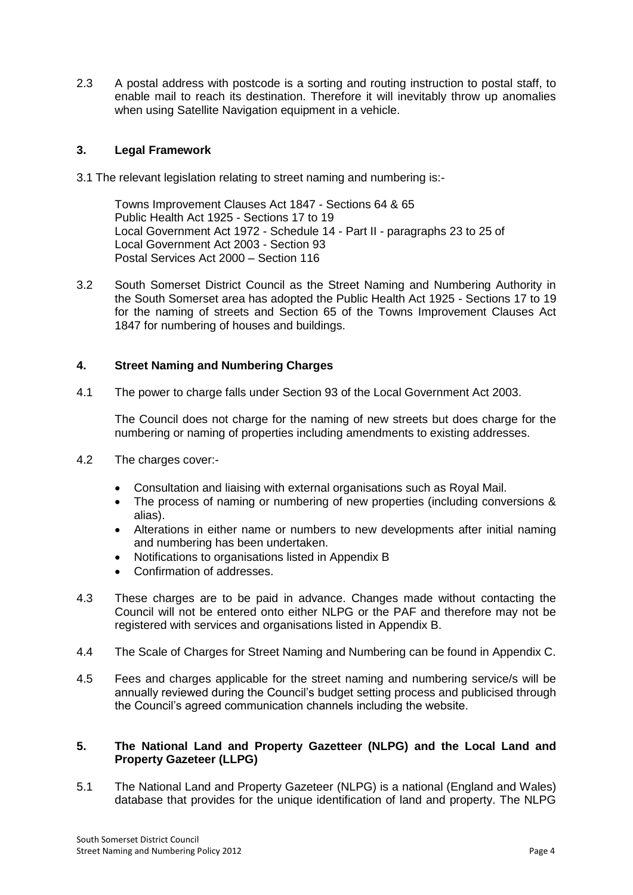2.3 A postal address with postcode is a sorting and routing instruction to postal staff, to enable mail to reach its destination. Therefore it will inevitably throw up anomalies when using Satellite Navigation equipment in a vehicle.

# **3. Legal Framework**

3.1 The relevant legislation relating to street naming and numbering is:-

Towns Improvement Clauses Act 1847 - Sections 64 & 65 Public Health Act 1925 - Sections 17 to 19 Local Government Act 1972 - Schedule 14 - Part II - paragraphs 23 to 25 of Local Government Act 2003 - Section 93 Postal Services Act 2000 – Section 116

3.2 South Somerset District Council as the Street Naming and Numbering Authority in the South Somerset area has adopted the Public Health Act 1925 - Sections 17 to 19 for the naming of streets and Section 65 of the Towns Improvement Clauses Act 1847 for numbering of houses and buildings.

# **4. Street Naming and Numbering Charges**

4.1 The power to charge falls under Section 93 of the Local Government Act 2003.

The Council does not charge for the naming of new streets but does charge for the numbering or naming of properties including amendments to existing addresses.

- 4.2 The charges cover:-
	- Consultation and liaising with external organisations such as Royal Mail.
	- The process of naming or numbering of new properties (including conversions & alias).
	- Alterations in either name or numbers to new developments after initial naming and numbering has been undertaken.
	- Notifications to organisations listed in Appendix B
	- Confirmation of addresses.
- 4.3 These charges are to be paid in advance. Changes made without contacting the Council will not be entered onto either NLPG or the PAF and therefore may not be registered with services and organisations listed in Appendix B.
- 4.4 The Scale of Charges for Street Naming and Numbering can be found in Appendix C.
- 4.5 Fees and charges applicable for the street naming and numbering service/s will be annually reviewed during the Council's budget setting process and publicised through the Council's agreed communication channels including the website.

### **5. The National Land and Property Gazetteer (NLPG) and the Local Land and Property Gazeteer (LLPG)**

5.1 The National Land and Property Gazeteer (NLPG) is a national (England and Wales) database that provides for the unique identification of land and property. The NLPG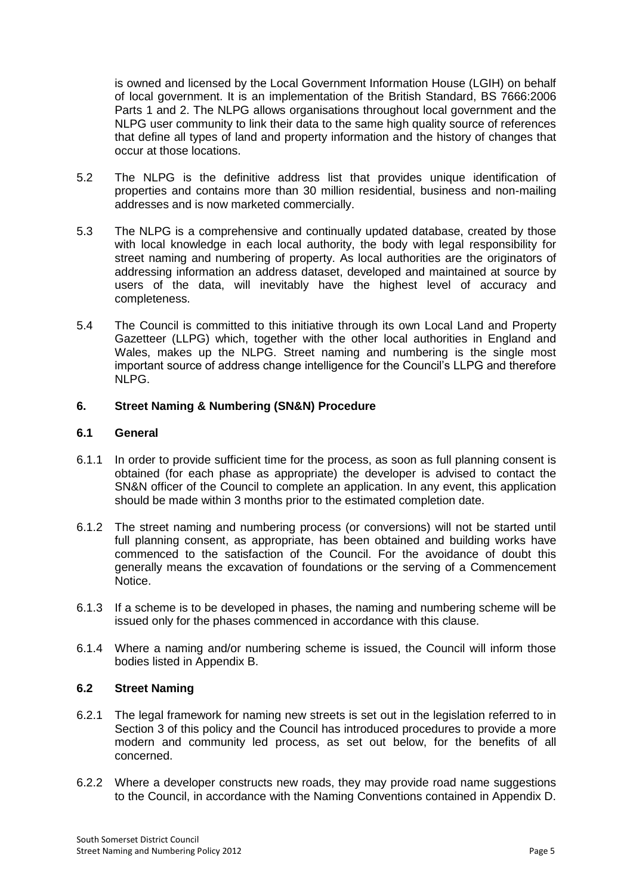is owned and licensed by the Local Government Information House (LGIH) on behalf of local government. It is an implementation of the British Standard, BS 7666:2006 Parts 1 and 2. The NLPG allows organisations throughout local government and the NLPG user community to link their data to the same high quality source of references that define all types of land and property information and the history of changes that occur at those locations.

- 5.2 The NLPG is the definitive address list that provides unique identification of properties and contains more than 30 million residential, business and non-mailing addresses and is now marketed commercially.
- 5.3 The NLPG is a comprehensive and continually updated database, created by those with local knowledge in each local authority, the body with legal responsibility for street naming and numbering of property. As local authorities are the originators of addressing information an address dataset, developed and maintained at source by users of the data, will inevitably have the highest level of accuracy and completeness.
- 5.4 The Council is committed to this initiative through its own Local Land and Property Gazetteer (LLPG) which, together with the other local authorities in England and Wales, makes up the NLPG. Street naming and numbering is the single most important source of address change intelligence for the Council's LLPG and therefore NLPG.

# **6. Street Naming & Numbering (SN&N) Procedure**

## **6.1 General**

- 6.1.1 In order to provide sufficient time for the process, as soon as full planning consent is obtained (for each phase as appropriate) the developer is advised to contact the SN&N officer of the Council to complete an application. In any event, this application should be made within 3 months prior to the estimated completion date.
- 6.1.2 The street naming and numbering process (or conversions) will not be started until full planning consent, as appropriate, has been obtained and building works have commenced to the satisfaction of the Council. For the avoidance of doubt this generally means the excavation of foundations or the serving of a Commencement Notice.
- 6.1.3 If a scheme is to be developed in phases, the naming and numbering scheme will be issued only for the phases commenced in accordance with this clause.
- 6.1.4 Where a naming and/or numbering scheme is issued, the Council will inform those bodies listed in Appendix B.

## **6.2 Street Naming**

- 6.2.1 The legal framework for naming new streets is set out in the legislation referred to in Section 3 of this policy and the Council has introduced procedures to provide a more modern and community led process, as set out below, for the benefits of all concerned.
- 6.2.2 Where a developer constructs new roads, they may provide road name suggestions to the Council, in accordance with the Naming Conventions contained in Appendix D.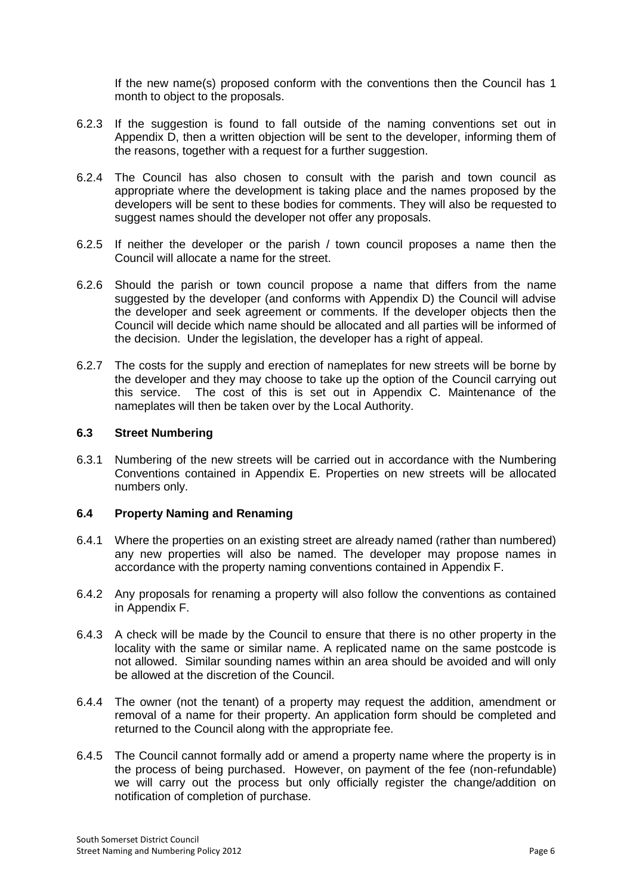If the new name(s) proposed conform with the conventions then the Council has 1 month to object to the proposals.

- 6.2.3 If the suggestion is found to fall outside of the naming conventions set out in Appendix D, then a written objection will be sent to the developer, informing them of the reasons, together with a request for a further suggestion.
- 6.2.4 The Council has also chosen to consult with the parish and town council as appropriate where the development is taking place and the names proposed by the developers will be sent to these bodies for comments. They will also be requested to suggest names should the developer not offer any proposals.
- 6.2.5 If neither the developer or the parish / town council proposes a name then the Council will allocate a name for the street.
- 6.2.6 Should the parish or town council propose a name that differs from the name suggested by the developer (and conforms with Appendix D) the Council will advise the developer and seek agreement or comments. If the developer objects then the Council will decide which name should be allocated and all parties will be informed of the decision. Under the legislation, the developer has a right of appeal.
- 6.2.7 The costs for the supply and erection of nameplates for new streets will be borne by the developer and they may choose to take up the option of the Council carrying out this service. The cost of this is set out in Appendix C. Maintenance of the nameplates will then be taken over by the Local Authority.

### **6.3 Street Numbering**

6.3.1 Numbering of the new streets will be carried out in accordance with the Numbering Conventions contained in Appendix E. Properties on new streets will be allocated numbers only.

#### **6.4 Property Naming and Renaming**

- 6.4.1 Where the properties on an existing street are already named (rather than numbered) any new properties will also be named. The developer may propose names in accordance with the property naming conventions contained in Appendix F.
- 6.4.2 Any proposals for renaming a property will also follow the conventions as contained in Appendix F.
- 6.4.3 A check will be made by the Council to ensure that there is no other property in the locality with the same or similar name. A replicated name on the same postcode is not allowed. Similar sounding names within an area should be avoided and will only be allowed at the discretion of the Council.
- 6.4.4 The owner (not the tenant) of a property may request the addition, amendment or removal of a name for their property. An application form should be completed and returned to the Council along with the appropriate fee.
- 6.4.5 The Council cannot formally add or amend a property name where the property is in the process of being purchased. However, on payment of the fee (non-refundable) we will carry out the process but only officially register the change/addition on notification of completion of purchase.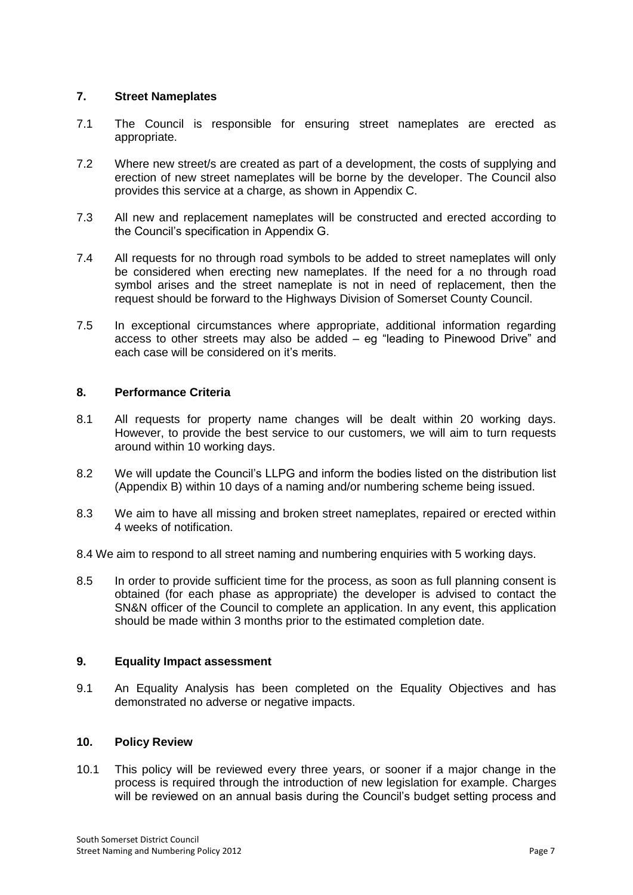## **7. Street Nameplates**

- 7.1 The Council is responsible for ensuring street nameplates are erected as appropriate.
- 7.2 Where new street/s are created as part of a development, the costs of supplying and erection of new street nameplates will be borne by the developer. The Council also provides this service at a charge, as shown in Appendix C.
- 7.3 All new and replacement nameplates will be constructed and erected according to the Council's specification in Appendix G.
- 7.4 All requests for no through road symbols to be added to street nameplates will only be considered when erecting new nameplates. If the need for a no through road symbol arises and the street nameplate is not in need of replacement, then the request should be forward to the Highways Division of Somerset County Council.
- 7.5 In exceptional circumstances where appropriate, additional information regarding access to other streets may also be added – eg "leading to Pinewood Drive" and each case will be considered on it's merits.

## **8. Performance Criteria**

- 8.1 All requests for property name changes will be dealt within 20 working days. However, to provide the best service to our customers, we will aim to turn requests around within 10 working days.
- 8.2 We will update the Council's LLPG and inform the bodies listed on the distribution list (Appendix B) within 10 days of a naming and/or numbering scheme being issued.
- 8.3 We aim to have all missing and broken street nameplates, repaired or erected within 4 weeks of notification.
- 8.4 We aim to respond to all street naming and numbering enquiries with 5 working days.
- 8.5 In order to provide sufficient time for the process, as soon as full planning consent is obtained (for each phase as appropriate) the developer is advised to contact the SN&N officer of the Council to complete an application. In any event, this application should be made within 3 months prior to the estimated completion date.

## **9. Equality Impact assessment**

9.1 An Equality Analysis has been completed on the Equality Objectives and has demonstrated no adverse or negative impacts.

## **10. Policy Review**

10.1 This policy will be reviewed every three years, or sooner if a major change in the process is required through the introduction of new legislation for example. Charges will be reviewed on an annual basis during the Council's budget setting process and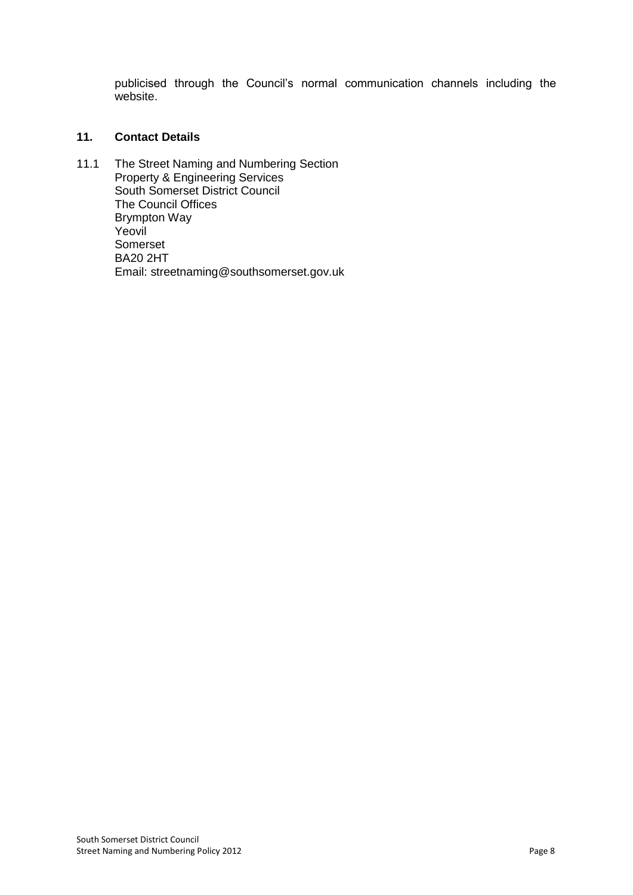publicised through the Council's normal communication channels including the website.

# **11. Contact Details**

11.1 The Street Naming and Numbering Section Property & Engineering Services South Somerset District Council The Council Offices Brympton Way Yeovil Somerset BA20 2HT Email: streetnaming@southsomerset.gov.uk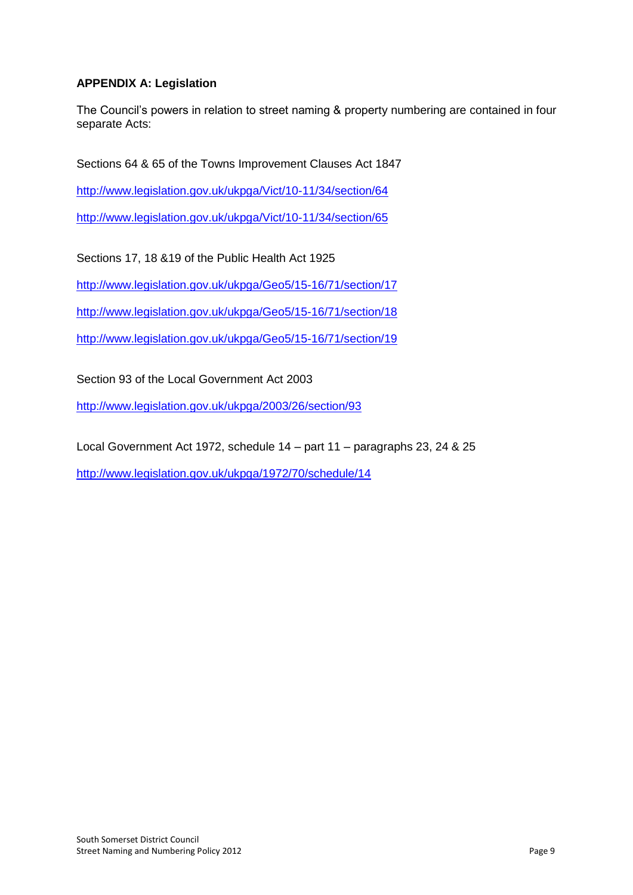# **APPENDIX A: Legislation**

The Council's powers in relation to street naming & property numbering are contained in four separate Acts:

Sections 64 & 65 of the Towns Improvement Clauses Act 1847

<http://www.legislation.gov.uk/ukpga/Vict/10-11/34/section/64>

<http://www.legislation.gov.uk/ukpga/Vict/10-11/34/section/65>

Sections 17, 18 &19 of the Public Health Act 1925

<http://www.legislation.gov.uk/ukpga/Geo5/15-16/71/section/17>

<http://www.legislation.gov.uk/ukpga/Geo5/15-16/71/section/18>

<http://www.legislation.gov.uk/ukpga/Geo5/15-16/71/section/19>

Section 93 of the Local Government Act 2003

<http://www.legislation.gov.uk/ukpga/2003/26/section/93>

Local Government Act 1972, schedule 14 – part 11 – paragraphs 23, 24 & 25

<http://www.legislation.gov.uk/ukpga/1972/70/schedule/14>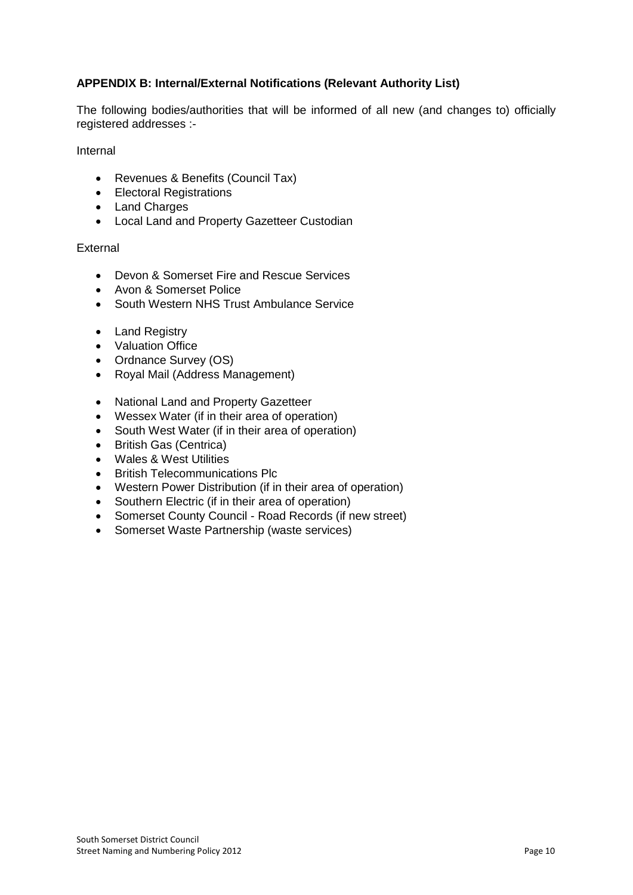# **APPENDIX B: Internal/External Notifications (Relevant Authority List)**

The following bodies/authorities that will be informed of all new (and changes to) officially registered addresses :-

Internal

- Revenues & Benefits (Council Tax)
- **•** Electoral Registrations
- Land Charges
- Local Land and Property Gazetteer Custodian

### **External**

- Devon & Somerset Fire and Rescue Services
- Avon & Somerset Police
- South Western NHS Trust Ambulance Service
- Land Registry
- Valuation Office
- Ordnance Survey (OS)
- Royal Mail (Address Management)
- National Land and Property Gazetteer
- Wessex Water (if in their area of operation)
- South West Water (if in their area of operation)
- British Gas (Centrica)
- Wales & West Utilities
- British Telecommunications Plc
- Western Power Distribution (if in their area of operation)
- Southern Electric (if in their area of operation)
- Somerset County Council Road Records (if new street)
- Somerset Waste Partnership (waste services)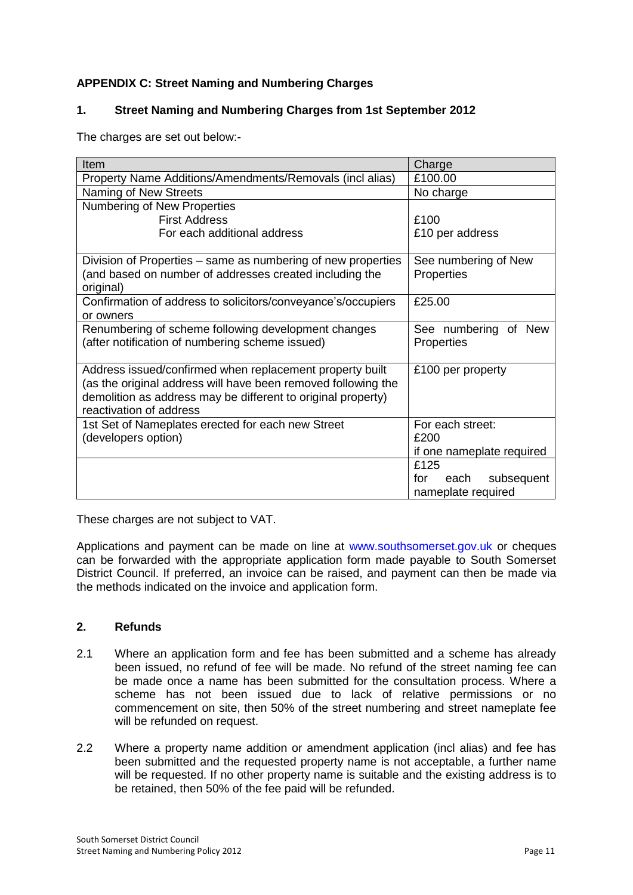# **APPENDIX C: Street Naming and Numbering Charges**

# **1. Street Naming and Numbering Charges from 1st September 2012**

The charges are set out below:-

| Item                                                                 | Charge                    |
|----------------------------------------------------------------------|---------------------------|
| Property Name Additions/Amendments/Removals (incl alias)             | £100.00                   |
| Naming of New Streets                                                | No charge                 |
| Numbering of New Properties                                          |                           |
| <b>First Address</b>                                                 | £100                      |
| For each additional address                                          | £10 per address           |
| Division of Properties – same as numbering of new properties         | See numbering of New      |
| (and based on number of addresses created including the<br>original) | Properties                |
| Confirmation of address to solicitors/conveyance's/occupiers         | £25.00                    |
| or owners                                                            |                           |
| Renumbering of scheme following development changes                  | See numbering<br>of New   |
| (after notification of numbering scheme issued)                      | Properties                |
| Address issued/confirmed when replacement property built             | £100 per property         |
| (as the original address will have been removed following the        |                           |
| demolition as address may be different to original property)         |                           |
| reactivation of address                                              |                           |
| 1st Set of Nameplates erected for each new Street                    | For each street:          |
| (developers option)                                                  | £200                      |
|                                                                      | if one nameplate required |
|                                                                      | £125                      |
|                                                                      | for<br>subsequent<br>each |
|                                                                      | nameplate required        |

These charges are not subject to VAT.

Applications and payment can be made on line at www.southsomerset.gov.uk or cheques can be forwarded with the appropriate application form made payable to South Somerset District Council. If preferred, an invoice can be raised, and payment can then be made via the methods indicated on the invoice and application form.

## **2. Refunds**

- 2.1 Where an application form and fee has been submitted and a scheme has already been issued, no refund of fee will be made. No refund of the street naming fee can be made once a name has been submitted for the consultation process. Where a scheme has not been issued due to lack of relative permissions or no commencement on site, then 50% of the street numbering and street nameplate fee will be refunded on request.
- 2.2 Where a property name addition or amendment application (incl alias) and fee has been submitted and the requested property name is not acceptable, a further name will be requested. If no other property name is suitable and the existing address is to be retained, then 50% of the fee paid will be refunded.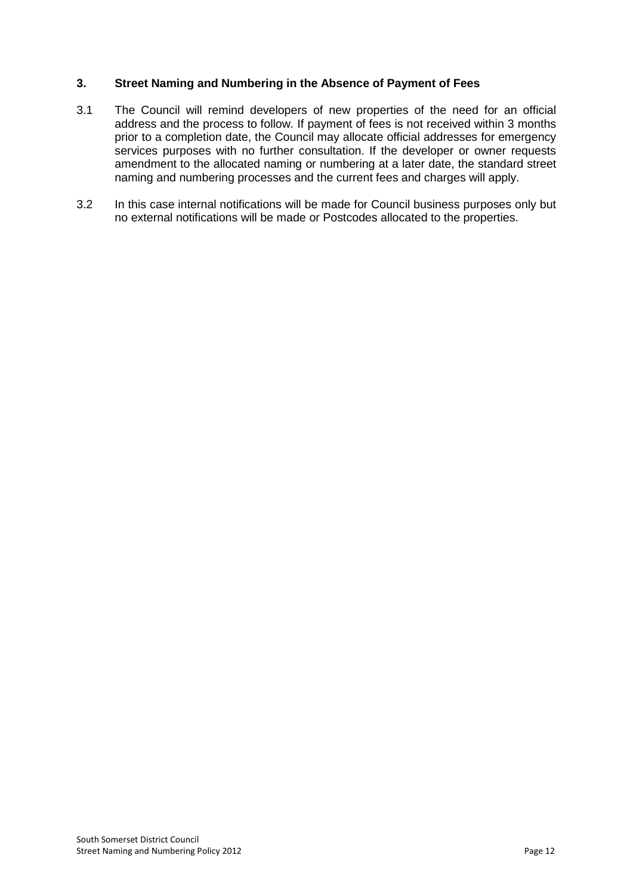## **3. Street Naming and Numbering in the Absence of Payment of Fees**

- 3.1 The Council will remind developers of new properties of the need for an official address and the process to follow. If payment of fees is not received within 3 months prior to a completion date, the Council may allocate official addresses for emergency services purposes with no further consultation. If the developer or owner requests amendment to the allocated naming or numbering at a later date, the standard street naming and numbering processes and the current fees and charges will apply.
- 3.2 In this case internal notifications will be made for Council business purposes only but no external notifications will be made or Postcodes allocated to the properties.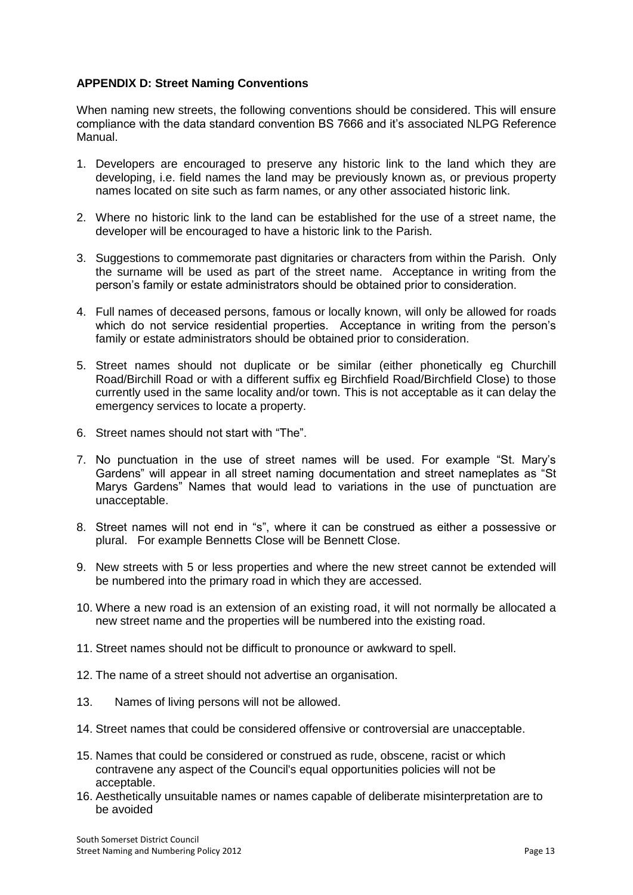## **APPENDIX D: Street Naming Conventions**

When naming new streets, the following conventions should be considered. This will ensure compliance with the data standard convention BS 7666 and it's associated NLPG Reference Manual.

- 1. Developers are encouraged to preserve any historic link to the land which they are developing, i.e. field names the land may be previously known as, or previous property names located on site such as farm names, or any other associated historic link.
- 2. Where no historic link to the land can be established for the use of a street name, the developer will be encouraged to have a historic link to the Parish.
- 3. Suggestions to commemorate past dignitaries or characters from within the Parish. Only the surname will be used as part of the street name. Acceptance in writing from the person's family or estate administrators should be obtained prior to consideration.
- 4. Full names of deceased persons, famous or locally known, will only be allowed for roads which do not service residential properties. Acceptance in writing from the person's family or estate administrators should be obtained prior to consideration.
- 5. Street names should not duplicate or be similar (either phonetically eg Churchill Road/Birchill Road or with a different suffix eg Birchfield Road/Birchfield Close) to those currently used in the same locality and/or town. This is not acceptable as it can delay the emergency services to locate a property.
- 6. Street names should not start with "The".
- 7. No punctuation in the use of street names will be used. For example "St. Mary's Gardens" will appear in all street naming documentation and street nameplates as "St Marys Gardens" Names that would lead to variations in the use of punctuation are unacceptable.
- 8. Street names will not end in "s", where it can be construed as either a possessive or plural. For example Bennetts Close will be Bennett Close.
- 9. New streets with 5 or less properties and where the new street cannot be extended will be numbered into the primary road in which they are accessed.
- 10. Where a new road is an extension of an existing road, it will not normally be allocated a new street name and the properties will be numbered into the existing road.
- 11. Street names should not be difficult to pronounce or awkward to spell.
- 12. The name of a street should not advertise an organisation.
- 13. Names of living persons will not be allowed.
- 14. Street names that could be considered offensive or controversial are unacceptable.
- 15. Names that could be considered or construed as rude, obscene, racist or which contravene any aspect of the Council's equal opportunities policies will not be acceptable.
- 16. Aesthetically unsuitable names or names capable of deliberate misinterpretation are to be avoided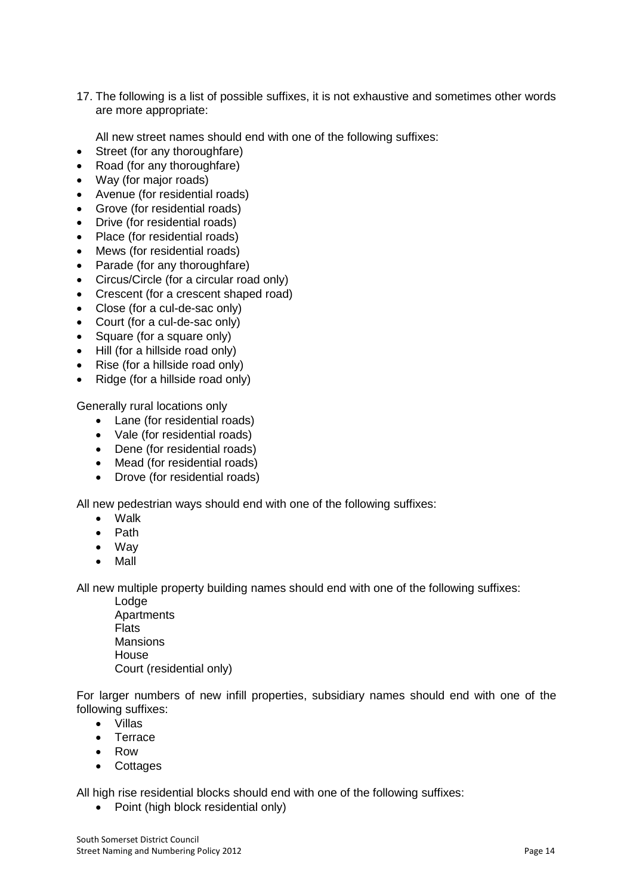17. The following is a list of possible suffixes, it is not exhaustive and sometimes other words are more appropriate:

All new street names should end with one of the following suffixes:

- Street (for any thoroughfare)
- Road (for any thoroughfare)
- Way (for major roads)
- Avenue (for residential roads)
- Grove (for residential roads)
- Drive (for residential roads)
- Place (for residential roads)
- Mews (for residential roads)
- Parade (for any thoroughfare)
- Circus/Circle (for a circular road only)
- Crescent (for a crescent shaped road)
- Close (for a cul-de-sac only)
- Court (for a cul-de-sac only)
- Square (for a square only)
- Hill (for a hillside road only)
- Rise (for a hillside road only)
- Ridge (for a hillside road only)

Generally rural locations only

- Lane (for residential roads)
- Vale (for residential roads)
- Dene (for residential roads)
- Mead (for residential roads)
- Drove (for residential roads)

All new pedestrian ways should end with one of the following suffixes:

- Walk
- Path
- Way
- Mall

All new multiple property building names should end with one of the following suffixes:

Lodge **Apartments** Flats **Mansions** House Court (residential only)

For larger numbers of new infill properties, subsidiary names should end with one of the following suffixes:

- Villas
- Terrace
- Row
- Cottages

All high rise residential blocks should end with one of the following suffixes:

• Point (high block residential only)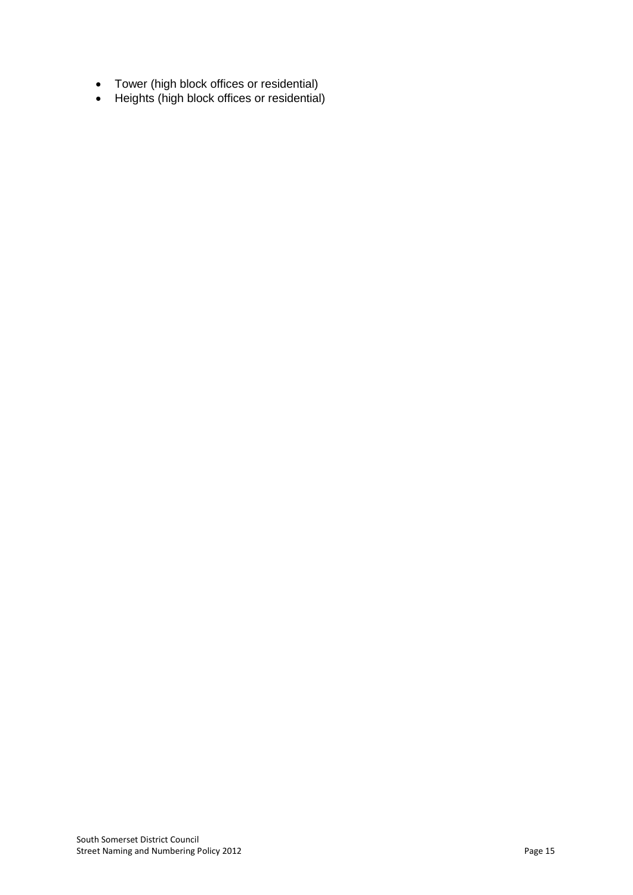- Tower (high block offices or residential)
- Heights (high block offices or residential)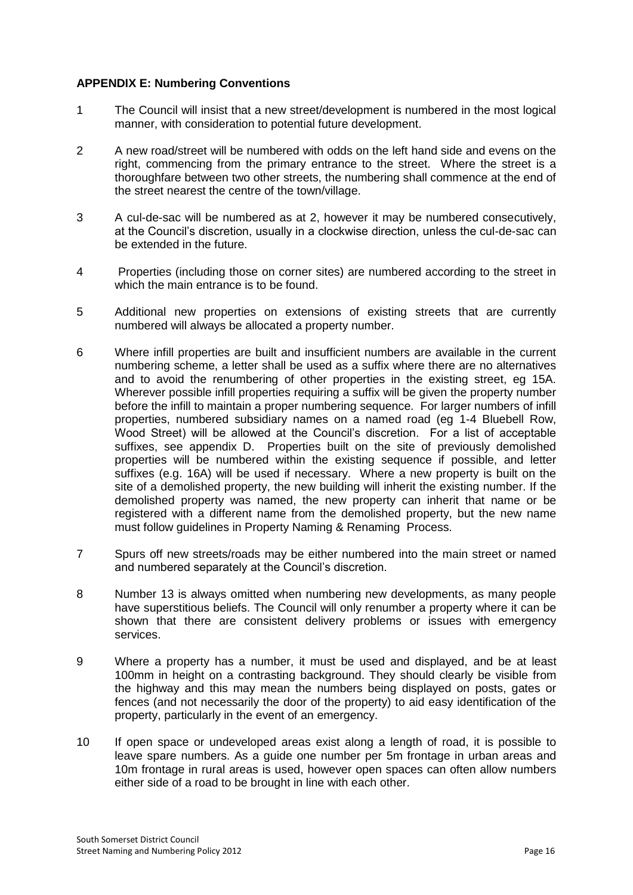## **APPENDIX E: Numbering Conventions**

- 1 The Council will insist that a new street/development is numbered in the most logical manner, with consideration to potential future development.
- 2 A new road/street will be numbered with odds on the left hand side and evens on the right, commencing from the primary entrance to the street. Where the street is a thoroughfare between two other streets, the numbering shall commence at the end of the street nearest the centre of the town/village.
- 3 A cul-de-sac will be numbered as at 2, however it may be numbered consecutively, at the Council's discretion, usually in a clockwise direction, unless the cul-de-sac can be extended in the future.
- 4 Properties (including those on corner sites) are numbered according to the street in which the main entrance is to be found.
- 5 Additional new properties on extensions of existing streets that are currently numbered will always be allocated a property number.
- 6 Where infill properties are built and insufficient numbers are available in the current numbering scheme, a letter shall be used as a suffix where there are no alternatives and to avoid the renumbering of other properties in the existing street, eg 15A. Wherever possible infill properties requiring a suffix will be given the property number before the infill to maintain a proper numbering sequence. For larger numbers of infill properties, numbered subsidiary names on a named road (eg 1-4 Bluebell Row, Wood Street) will be allowed at the Council's discretion. For a list of acceptable suffixes, see appendix D. Properties built on the site of previously demolished properties will be numbered within the existing sequence if possible, and letter suffixes (e.g. 16A) will be used if necessary. Where a new property is built on the site of a demolished property, the new building will inherit the existing number. If the demolished property was named, the new property can inherit that name or be registered with a different name from the demolished property, but the new name must follow guidelines in Property Naming & Renaming Process.
- 7 Spurs off new streets/roads may be either numbered into the main street or named and numbered separately at the Council's discretion.
- 8 Number 13 is always omitted when numbering new developments, as many people have superstitious beliefs. The Council will only renumber a property where it can be shown that there are consistent delivery problems or issues with emergency services.
- 9 Where a property has a number, it must be used and displayed, and be at least 100mm in height on a contrasting background. They should clearly be visible from the highway and this may mean the numbers being displayed on posts, gates or fences (and not necessarily the door of the property) to aid easy identification of the property, particularly in the event of an emergency.
- 10 If open space or undeveloped areas exist along a length of road, it is possible to leave spare numbers. As a guide one number per 5m frontage in urban areas and 10m frontage in rural areas is used, however open spaces can often allow numbers either side of a road to be brought in line with each other.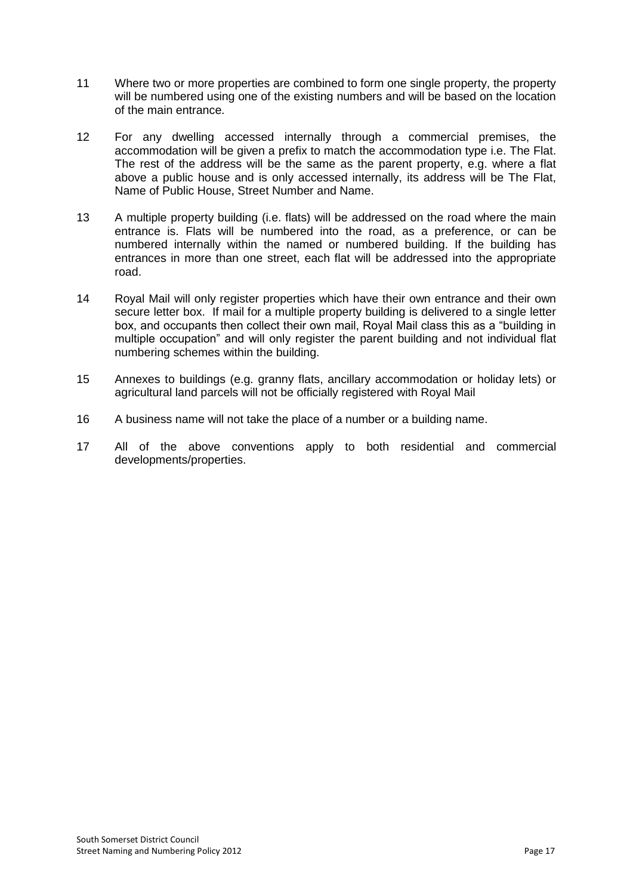- 11 Where two or more properties are combined to form one single property, the property will be numbered using one of the existing numbers and will be based on the location of the main entrance.
- 12 For any dwelling accessed internally through a commercial premises, the accommodation will be given a prefix to match the accommodation type i.e. The Flat. The rest of the address will be the same as the parent property, e.g. where a flat above a public house and is only accessed internally, its address will be The Flat, Name of Public House, Street Number and Name.
- 13 A multiple property building (i.e. flats) will be addressed on the road where the main entrance is. Flats will be numbered into the road, as a preference, or can be numbered internally within the named or numbered building. If the building has entrances in more than one street, each flat will be addressed into the appropriate road.
- 14 Royal Mail will only register properties which have their own entrance and their own secure letter box. If mail for a multiple property building is delivered to a single letter box, and occupants then collect their own mail, Royal Mail class this as a "building in multiple occupation" and will only register the parent building and not individual flat numbering schemes within the building.
- 15 Annexes to buildings (e.g. granny flats, ancillary accommodation or holiday lets) or agricultural land parcels will not be officially registered with Royal Mail
- 16 A business name will not take the place of a number or a building name.
- 17 All of the above conventions apply to both residential and commercial developments/properties.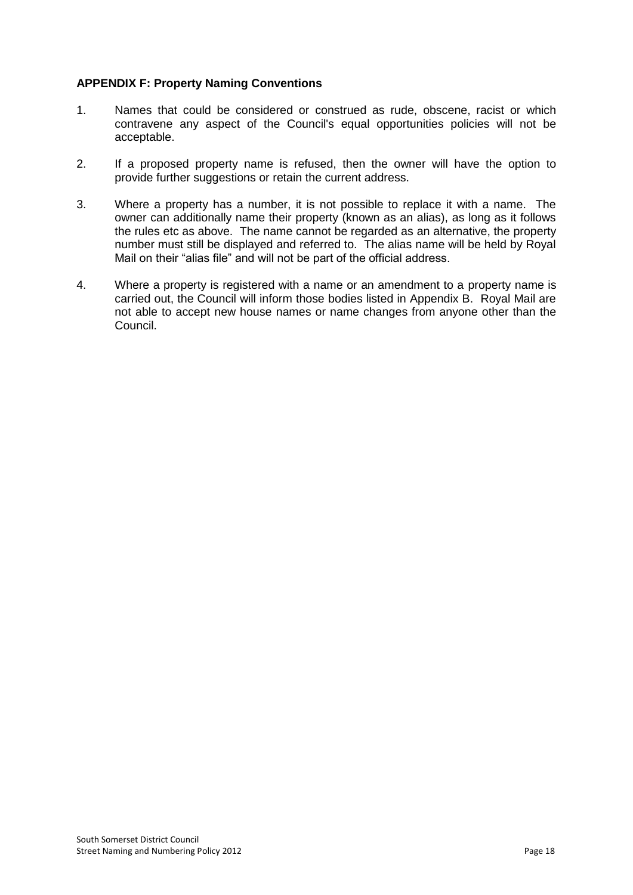# **APPENDIX F: Property Naming Conventions**

- 1. Names that could be considered or construed as rude, obscene, racist or which contravene any aspect of the Council's equal opportunities policies will not be acceptable.
- 2. If a proposed property name is refused, then the owner will have the option to provide further suggestions or retain the current address.
- 3. Where a property has a number, it is not possible to replace it with a name. The owner can additionally name their property (known as an alias), as long as it follows the rules etc as above. The name cannot be regarded as an alternative, the property number must still be displayed and referred to. The alias name will be held by Royal Mail on their "alias file" and will not be part of the official address.
- 4. Where a property is registered with a name or an amendment to a property name is carried out, the Council will inform those bodies listed in Appendix B. Royal Mail are not able to accept new house names or name changes from anyone other than the Council.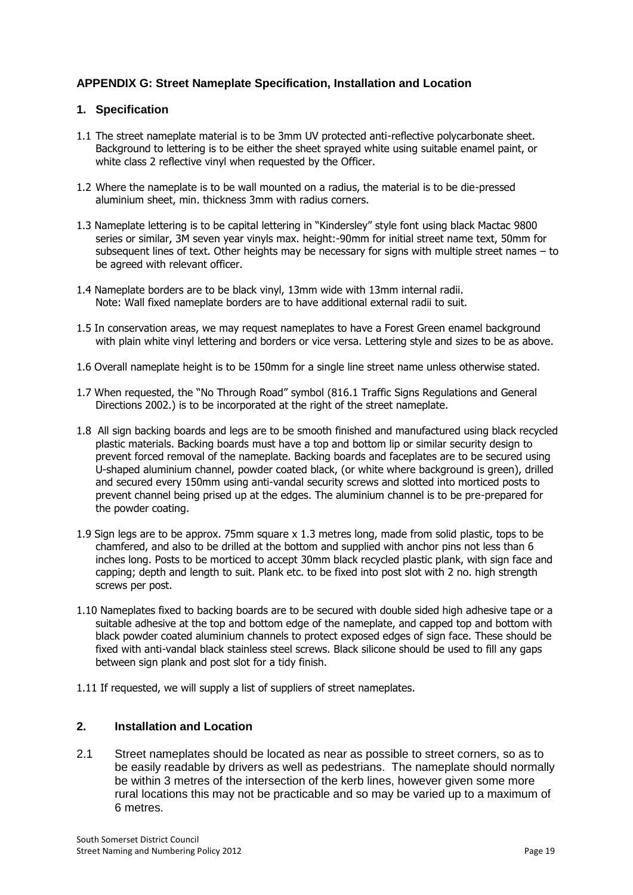# **APPENDIX G: Street Nameplate Specification, Installation and Location**

#### **1. Specification**

- 1.1 The street nameplate material is to be 3mm UV protected anti-reflective polycarbonate sheet. Background to lettering is to be either the sheet sprayed white using suitable enamel paint, or white class 2 reflective vinyl when requested by the Officer.
- 1.2 Where the nameplate is to be wall mounted on a radius, the material is to be die-pressed aluminium sheet, min. thickness 3mm with radius corners.
- 1.3 Nameplate lettering is to be capital lettering in "Kindersley" style font using black Mactac 9800 series or similar, 3M seven year vinyls max. height:-90mm for initial street name text, 50mm for subsequent lines of text. Other heights may be necessary for signs with multiple street names – to be agreed with relevant officer.
- 1.4 Nameplate borders are to be black vinyl, 13mm wide with 13mm internal radii. Note: Wall fixed nameplate borders are to have additional external radii to suit.
- 1.5 In conservation areas, we may request nameplates to have a Forest Green enamel background with plain white vinyl lettering and borders or vice versa. Lettering style and sizes to be as above.
- 1.6 Overall nameplate height is to be 150mm for a single line street name unless otherwise stated.
- 1.7 When requested, the "No Through Road" symbol (816.1 Traffic Signs Regulations and General Directions 2002.) is to be incorporated at the right of the street nameplate.
- 1.8 All sign backing boards and legs are to be smooth finished and manufactured using black recycled plastic materials. Backing boards must have a top and bottom lip or similar security design to prevent forced removal of the nameplate. Backing boards and faceplates are to be secured using U-shaped aluminium channel, powder coated black, (or white where background is green), drilled and secured every 150mm using anti-vandal security screws and slotted into morticed posts to prevent channel being prised up at the edges. The aluminium channel is to be pre-prepared for the powder coating.
- 1.9 Sign legs are to be approx. 75mm square x 1.3 metres long, made from solid plastic, tops to be chamfered, and also to be drilled at the bottom and supplied with anchor pins not less than 6 inches long. Posts to be morticed to accept 30mm black recycled plastic plank, with sign face and capping; depth and length to suit. Plank etc. to be fixed into post slot with 2 no. high strength screws per post.
- 1.10 Nameplates fixed to backing boards are to be secured with double sided high adhesive tape or a suitable adhesive at the top and bottom edge of the nameplate, and capped top and bottom with black powder coated aluminium channels to protect exposed edges of sign face. These should be fixed with anti-vandal black stainless steel screws. Black silicone should be used to fill any gaps between sign plank and post slot for a tidy finish.
- 1.11 If requested, we will supply a list of suppliers of street nameplates.

### **2. Installation and Location**

2.1 Street nameplates should be located as near as possible to street corners, so as to be easily readable by drivers as well as pedestrians. The nameplate should normally be within 3 metres of the intersection of the kerb lines, however given some more rural locations this may not be practicable and so may be varied up to a maximum of 6 metres.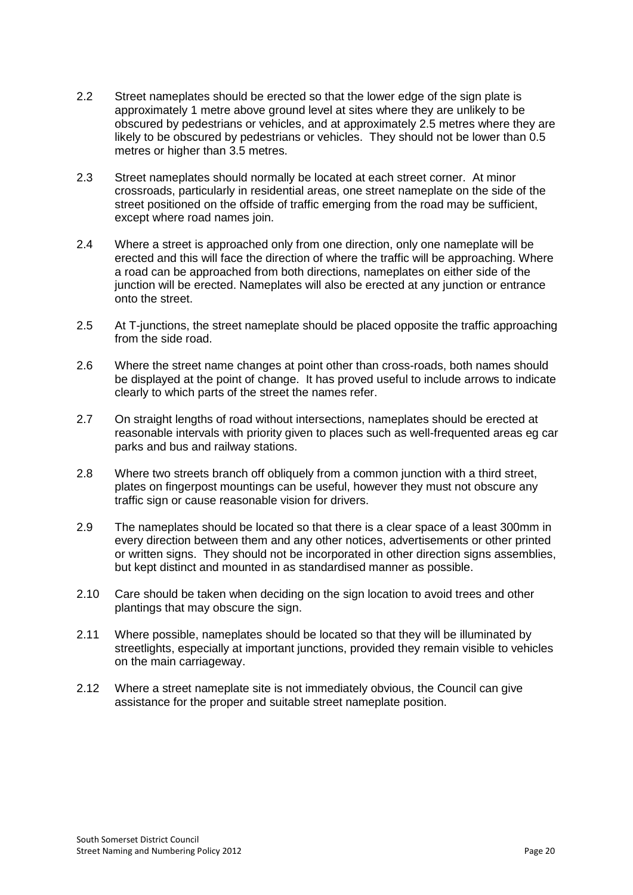- 2.2 Street nameplates should be erected so that the lower edge of the sign plate is approximately 1 metre above ground level at sites where they are unlikely to be obscured by pedestrians or vehicles, and at approximately 2.5 metres where they are likely to be obscured by pedestrians or vehicles. They should not be lower than 0.5 metres or higher than 3.5 metres.
- 2.3 Street nameplates should normally be located at each street corner. At minor crossroads, particularly in residential areas, one street nameplate on the side of the street positioned on the offside of traffic emerging from the road may be sufficient, except where road names join.
- 2.4 Where a street is approached only from one direction, only one nameplate will be erected and this will face the direction of where the traffic will be approaching. Where a road can be approached from both directions, nameplates on either side of the junction will be erected. Nameplates will also be erected at any junction or entrance onto the street.
- 2.5 At T-junctions, the street nameplate should be placed opposite the traffic approaching from the side road.
- 2.6 Where the street name changes at point other than cross-roads, both names should be displayed at the point of change. It has proved useful to include arrows to indicate clearly to which parts of the street the names refer.
- 2.7 On straight lengths of road without intersections, nameplates should be erected at reasonable intervals with priority given to places such as well-frequented areas eg car parks and bus and railway stations.
- 2.8 Where two streets branch off obliquely from a common junction with a third street, plates on fingerpost mountings can be useful, however they must not obscure any traffic sign or cause reasonable vision for drivers.
- 2.9 The nameplates should be located so that there is a clear space of a least 300mm in every direction between them and any other notices, advertisements or other printed or written signs. They should not be incorporated in other direction signs assemblies, but kept distinct and mounted in as standardised manner as possible.
- 2.10 Care should be taken when deciding on the sign location to avoid trees and other plantings that may obscure the sign.
- 2.11 Where possible, nameplates should be located so that they will be illuminated by streetlights, especially at important junctions, provided they remain visible to vehicles on the main carriageway.
- 2.12 Where a street nameplate site is not immediately obvious, the Council can give assistance for the proper and suitable street nameplate position.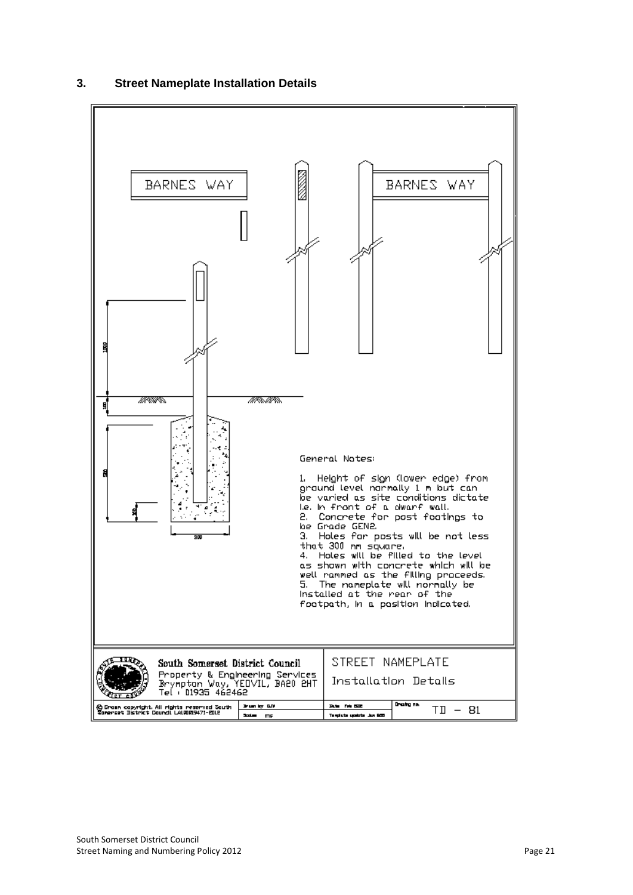

# **3. Street Nameplate Installation Details**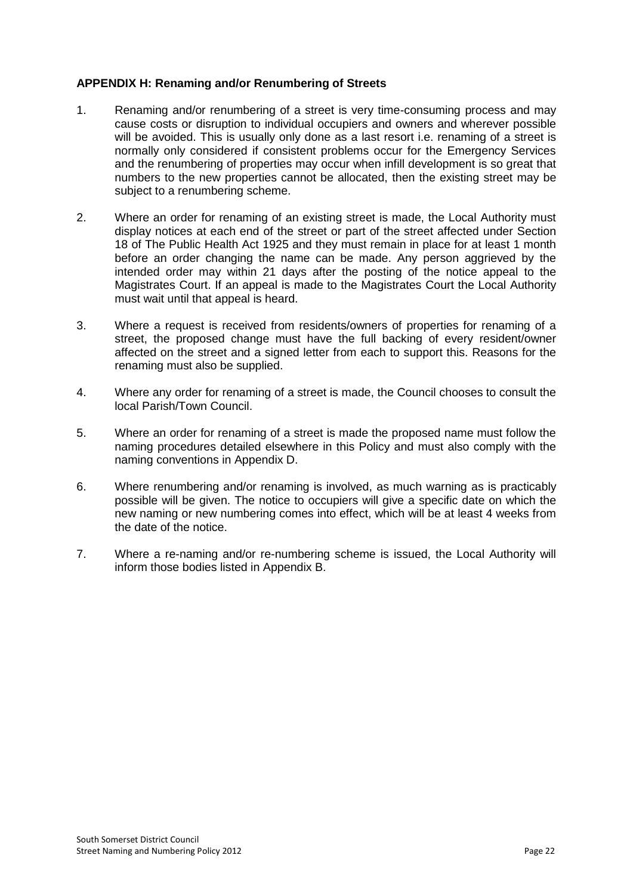## **APPENDIX H: Renaming and/or Renumbering of Streets**

- 1. Renaming and/or renumbering of a street is very time-consuming process and may cause costs or disruption to individual occupiers and owners and wherever possible will be avoided. This is usually only done as a last resort i.e. renaming of a street is normally only considered if consistent problems occur for the Emergency Services and the renumbering of properties may occur when infill development is so great that numbers to the new properties cannot be allocated, then the existing street may be subject to a renumbering scheme.
- 2. Where an order for renaming of an existing street is made, the Local Authority must display notices at each end of the street or part of the street affected under Section 18 of The Public Health Act 1925 and they must remain in place for at least 1 month before an order changing the name can be made. Any person aggrieved by the intended order may within 21 days after the posting of the notice appeal to the Magistrates Court. If an appeal is made to the Magistrates Court the Local Authority must wait until that appeal is heard.
- 3. Where a request is received from residents/owners of properties for renaming of a street, the proposed change must have the full backing of every resident/owner affected on the street and a signed letter from each to support this. Reasons for the renaming must also be supplied.
- 4. Where any order for renaming of a street is made, the Council chooses to consult the local Parish/Town Council.
- 5. Where an order for renaming of a street is made the proposed name must follow the naming procedures detailed elsewhere in this Policy and must also comply with the naming conventions in Appendix D.
- 6. Where renumbering and/or renaming is involved, as much warning as is practicably possible will be given. The notice to occupiers will give a specific date on which the new naming or new numbering comes into effect, which will be at least 4 weeks from the date of the notice.
- 7. Where a re-naming and/or re-numbering scheme is issued, the Local Authority will inform those bodies listed in Appendix B.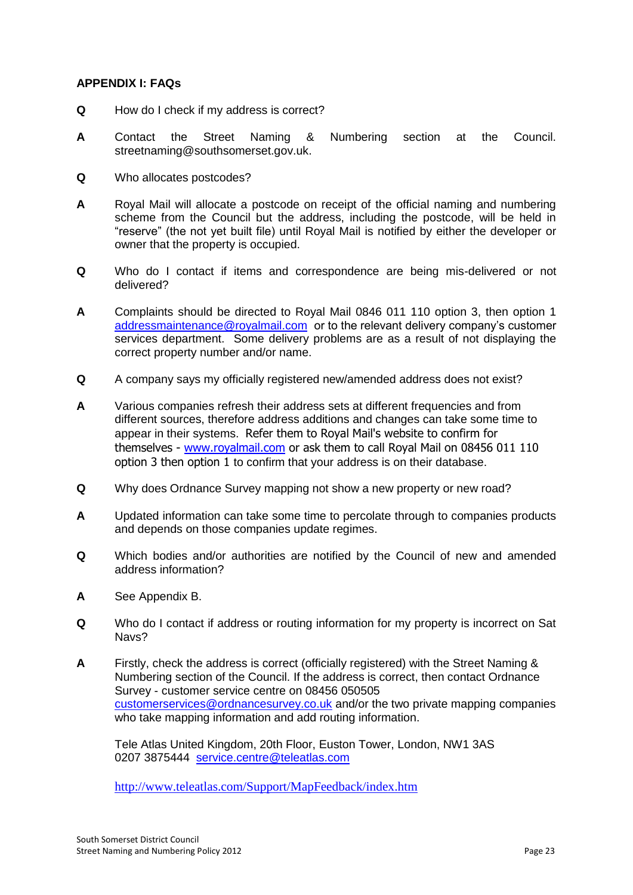## **APPENDIX I: FAQs**

- **Q** How do I check if my address is correct?
- **A** Contact the Street Naming & Numbering section at the Council. streetnaming@southsomerset.gov.uk.
- **Q** Who allocates postcodes?
- **A** Royal Mail will allocate a postcode on receipt of the official naming and numbering scheme from the Council but the address, including the postcode, will be held in "reserve" (the not yet built file) until Royal Mail is notified by either the developer or owner that the property is occupied.
- **Q** Who do I contact if items and correspondence are being mis-delivered or not delivered?
- **A** Complaints should be directed to Royal Mail 0846 011 110 option 3, then option 1 [addressmaintenance@royalmail.com](mailto:addressmaintenance@royalmail.com) or to the relevant delivery company's customer services department. Some delivery problems are as a result of not displaying the correct property number and/or name.
- **Q** A company says my officially registered new/amended address does not exist?
- **A** Various companies refresh their address sets at different frequencies and from different sources, therefore address additions and changes can take some time to appear in their systems. Refer them to Royal Mail's website to confirm for themselves - [www.royalmail.com](http://www.royalmail.com/) or ask them to call Royal Mail on 08456 011 110 option 3 then option 1 to confirm that your address is on their database.
- **Q** Why does Ordnance Survey mapping not show a new property or new road?
- **A** Updated information can take some time to percolate through to companies products and depends on those companies update regimes.
- **Q** Which bodies and/or authorities are notified by the Council of new and amended address information?
- **A** See Appendix B.
- **Q** Who do I contact if address or routing information for my property is incorrect on Sat Navs?
- **A** Firstly, check the address is correct (officially registered) with the Street Naming & Numbering section of the Council. If the address is correct, then contact Ordnance Survey - customer service centre on 08456 050505 [customerservices@ordnancesurvey.co.uk](mailto:customerservices@ordnancesurvey.co.uk) and/or the two private mapping companies who take mapping information and add routing information.

Tele Atlas United Kingdom, 20th Floor, Euston Tower, London, NW1 3AS 0207 3875444 [service.centre@teleatlas.com](mailto:service.centre@teleatlas.com) 

<http://www.teleatlas.com/Support/MapFeedback/index.htm>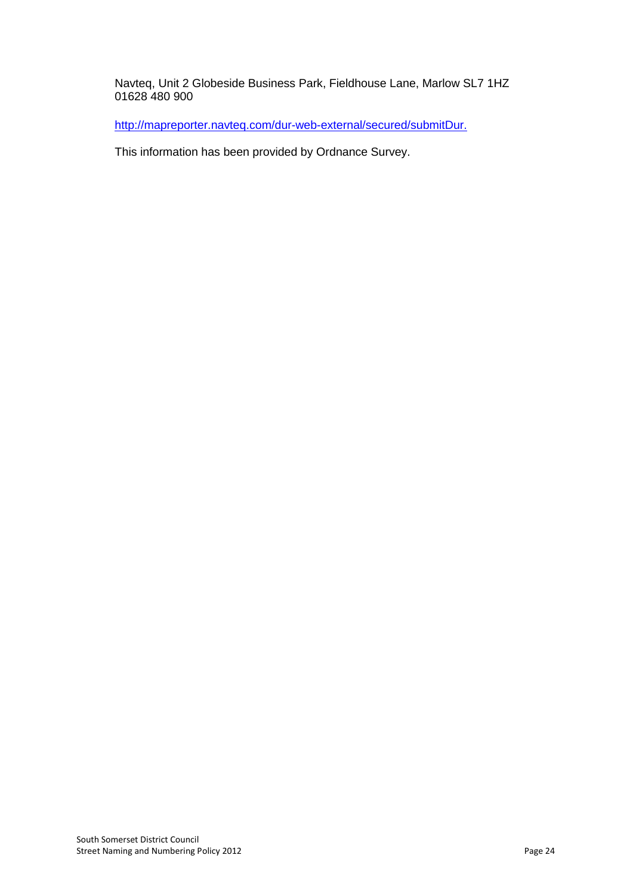Navteq, Unit 2 Globeside Business Park, Fieldhouse Lane, Marlow SL7 1HZ 01628 480 900

[http://mapreporter.navteq.com/dur-web-external/secured/submitDur.](http://mapreporter.navteq.com/dur-web-external/secured/submitDur.do)

This information has been provided by Ordnance Survey.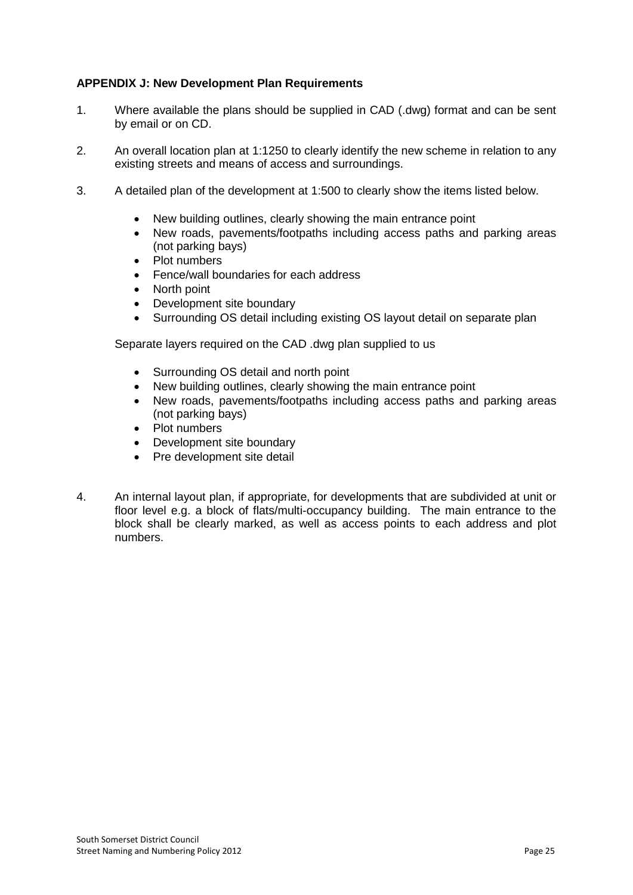# **APPENDIX J: New Development Plan Requirements**

- 1. Where available the plans should be supplied in CAD (.dwg) format and can be sent by email or on CD.
- 2. An overall location plan at 1:1250 to clearly identify the new scheme in relation to any existing streets and means of access and surroundings.
- 3. A detailed plan of the development at 1:500 to clearly show the items listed below.
	- New building outlines, clearly showing the main entrance point
	- New roads, pavements/footpaths including access paths and parking areas (not parking bays)
	- Plot numbers
	- Fence/wall boundaries for each address
	- North point
	- Development site boundary
	- Surrounding OS detail including existing OS layout detail on separate plan

Separate layers required on the CAD .dwg plan supplied to us

- Surrounding OS detail and north point
- New building outlines, clearly showing the main entrance point
- New roads, pavements/footpaths including access paths and parking areas (not parking bays)
- Plot numbers
- Development site boundary
- Pre development site detail
- 4. An internal layout plan, if appropriate, for developments that are subdivided at unit or floor level e.g. a block of flats/multi-occupancy building. The main entrance to the block shall be clearly marked, as well as access points to each address and plot numbers.